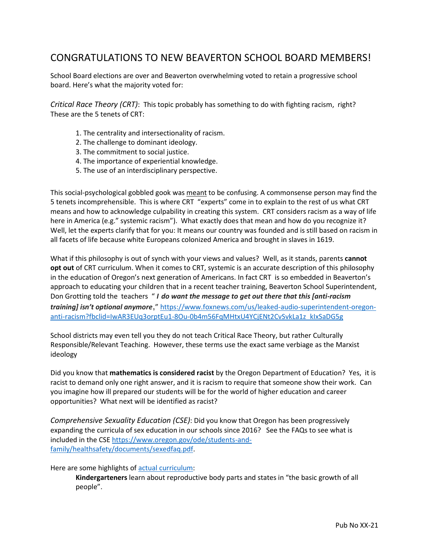## CONGRATULATIONS TO NEW BEAVERTON SCHOOL BOARD MEMBERS!

School Board elections are over and Beaverton overwhelming voted to retain a progressive school board. Here's what the majority voted for:

*Critical Race Theory (CRT)*: This topic probably has something to do with fighting racism, right? These are the 5 tenets of CRT:

- 1. The centrality and intersectionality of racism.
- 2. The challenge to dominant ideology.
- 3. The commitment to social justice.
- 4. The importance of experiential knowledge.
- 5. The use of an interdisciplinary perspective.

This social-psychological gobbled gook was meant to be confusing. A commonsense person may find the 5 tenets incomprehensible. This is where CRT "experts" come in to explain to the rest of us what CRT means and how to acknowledge culpability in creating this system. CRT considers racism as a way of life here in America (e.g." systemic racism"). What exactly does that mean and how do you recognize it? Well, let the experts clarify that for you: It means our country was founded and is still based on racism in all facets of life because white Europeans colonized America and brought in slaves in 1619.

What if this philosophy is out of synch with your views and values? Well, as it stands, parents **cannot opt out** of CRT curriculum. When it comes to CRT, systemic is an accurate description of this philosophy in the education of Oregon's next generation of Americans. In fact CRT is so embedded in Beaverton's approach to educating your children that in a recent teacher training, Beaverton School Superintendent, Don Grotting told the teachers " *I do want the message to get out there that this [anti-racism training] isn't optional anymore*," [https://www.foxnews.com/us/leaked-audio-superintendent-oregon](https://www.foxnews.com/us/leaked-audio-superintendent-oregon-anti-racism?fbclid=IwAR3EUq3orptEu1-8Ou-0b4m56FqMHtxU4YCjENt2CvSvkLa1z_kIxSaDG5g)[anti-racism?fbclid=IwAR3EUq3orptEu1-8Ou-0b4m56FqMHtxU4YCjENt2CvSvkLa1z\\_kIxSaDG5g](https://www.foxnews.com/us/leaked-audio-superintendent-oregon-anti-racism?fbclid=IwAR3EUq3orptEu1-8Ou-0b4m56FqMHtxU4YCjENt2CvSvkLa1z_kIxSaDG5g)

School districts may even tell you they do not teach Critical Race Theory, but rather Culturally Responsible/Relevant Teaching. However, these terms use the exact same verbiage as the Marxist ideology

Did you know that **mathematics is considered racist** by the Oregon Department of Education? Yes, it is racist to demand only one right answer, and it is racism to require that someone show their work. Can you imagine how ill prepared our students will be for the world of higher education and career opportunities? What next will be identified as racist?

*Comprehensive Sexuality Education (CSE)*: Did you know that Oregon has been progressively expanding the curricula of sex education in our schools since 2016? See the FAQs to see what is included in the CSE [https://www.oregon.gov/ode/students-and](https://www.oregon.gov/ode/students-and-family/healthsafety/documents/sexedfaq.pdf)[family/healthsafety/documents/sexedfaq.pdf.](https://www.oregon.gov/ode/students-and-family/healthsafety/documents/sexedfaq.pdf)

## Here are some highlights of [actual curriculum:](https://www.oregon.gov/ode/educator-resources/standards/health/Documents/2016ORHEStandardstable.pdf)

**Kindergarteners** learn about reproductive body parts and states in "the basic growth of all people".